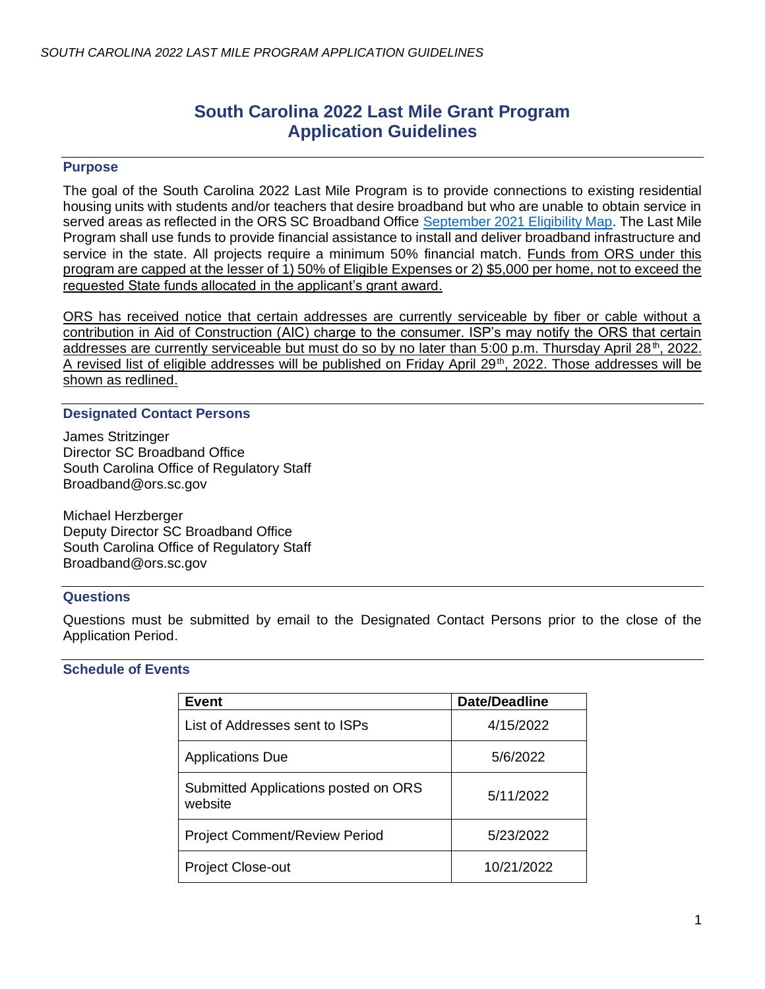# **South Carolina 2022 Last Mile Grant Program Application Guidelines**

## **Purpose**

The goal of the South Carolina 2022 Last Mile Program is to provide connections to existing residential housing units with students and/or teachers that desire broadband but who are unable to obtain service in served areas as reflected in the ORS SC Broadband Office [September 2021 Eligibility Map.](https://arcg.is/04GS9v1) The Last Mile Program shall use funds to provide financial assistance to install and deliver broadband infrastructure and service in the state. All projects require a minimum 50% financial match. Funds from ORS under this program are capped at the lesser of 1) 50% of Eligible Expenses or 2) \$5,000 per home, not to exceed the requested State funds allocated in the applicant's grant award.

ORS has received notice that certain addresses are currently serviceable by fiber or cable without a contribution in Aid of Construction (AIC) charge to the consumer. ISP's may notify the ORS that certain addresses are currently serviceable but must do so by no later than 5:00 p.m. Thursday April 28<sup>th</sup>, 2022. A revised list of eligible addresses will be published on Friday April 29<sup>th</sup>, 2022. Those addresses will be shown as redlined.

#### **Designated Contact Persons**

James Stritzinger Director SC Broadband Office South Carolina Office of Regulatory Staff Broadband@ors.sc.gov

Michael Herzberger Deputy Director SC Broadband Office South Carolina Office of Regulatory Staff Broadband@ors.sc.gov

#### **Questions**

Questions must be submitted by email to the Designated Contact Persons prior to the close of the Application Period.

# **Schedule of Events**

| Event                                           | <b>Date/Deadline</b> |
|-------------------------------------------------|----------------------|
| List of Addresses sent to ISPs                  | 4/15/2022            |
| <b>Applications Due</b>                         | 5/6/2022             |
| Submitted Applications posted on ORS<br>website | 5/11/2022            |
| <b>Project Comment/Review Period</b>            | 5/23/2022            |
| <b>Project Close-out</b>                        | 10/21/2022           |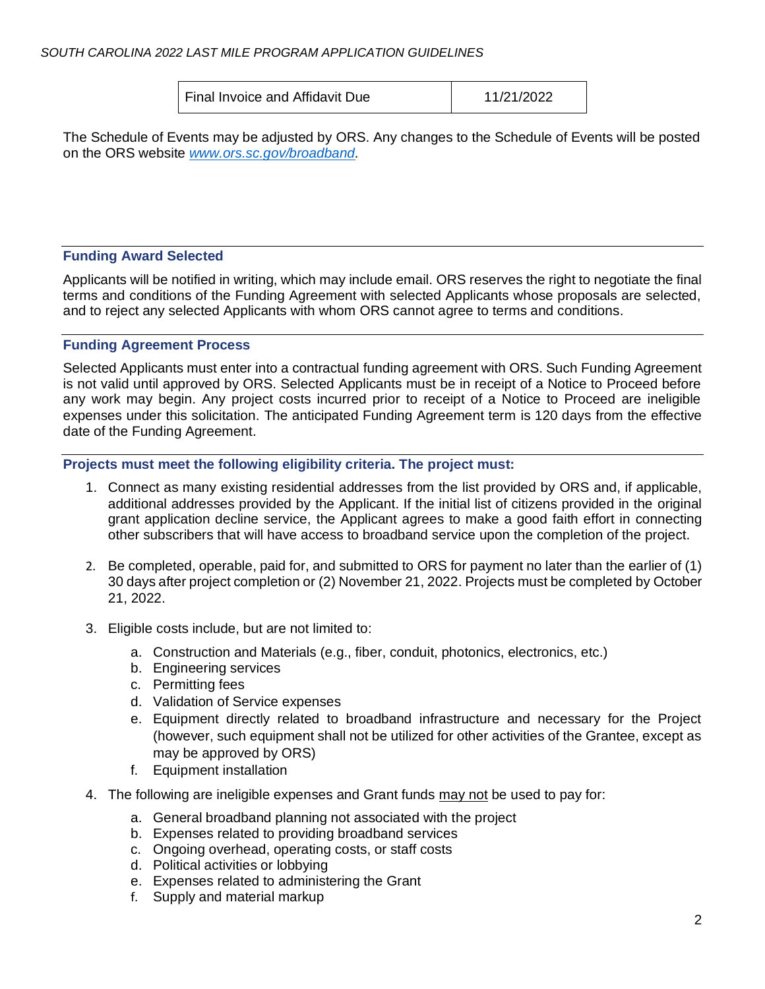Final Invoice and Affidavit Due 11/21/2022

The Schedule of Events may be adjusted by ORS. Any changes to the Schedule of Events will be posted on the ORS website *[www.ors.sc.gov/broadband.](http://www.ors.sc.gov/broadband)*

# **Funding Award Selected**

Applicants will be notified in writing, which may include email. ORS reserves the right to negotiate the final terms and conditions of the Funding Agreement with selected Applicants whose proposals are selected, and to reject any selected Applicants with whom ORS cannot agree to terms and conditions.

#### **Funding Agreement Process**

Selected Applicants must enter into a contractual funding agreement with ORS. Such Funding Agreement is not valid until approved by ORS. Selected Applicants must be in receipt of a Notice to Proceed before any work may begin. Any project costs incurred prior to receipt of a Notice to Proceed are ineligible expenses under this solicitation. The anticipated Funding Agreement term is 120 days from the effective date of the Funding Agreement.

#### **Projects must meet the following eligibility criteria. The project must:**

- 1. Connect as many existing residential addresses from the list provided by ORS and, if applicable, additional addresses provided by the Applicant. If the initial list of citizens provided in the original grant application decline service, the Applicant agrees to make a good faith effort in connecting other subscribers that will have access to broadband service upon the completion of the project.
- 2. Be completed, operable, paid for, and submitted to ORS for payment no later than the earlier of (1) 30 days after project completion or (2) November 21, 2022. Projects must be completed by October 21, 2022.
- 3. Eligible costs include, but are not limited to:
	- a. Construction and Materials (e.g., fiber, conduit, photonics, electronics, etc.)
	- b. Engineering services
	- c. Permitting fees
	- d. Validation of Service expenses
	- e. Equipment directly related to broadband infrastructure and necessary for the Project (however, such equipment shall not be utilized for other activities of the Grantee, except as may be approved by ORS)
	- f. Equipment installation
- 4. The following are ineligible expenses and Grant funds may not be used to pay for:
	- a. General broadband planning not associated with the project
	- b. Expenses related to providing broadband services
	- c. Ongoing overhead, operating costs, or staff costs
	- d. Political activities or lobbying
	- e. Expenses related to administering the Grant
	- f. Supply and material markup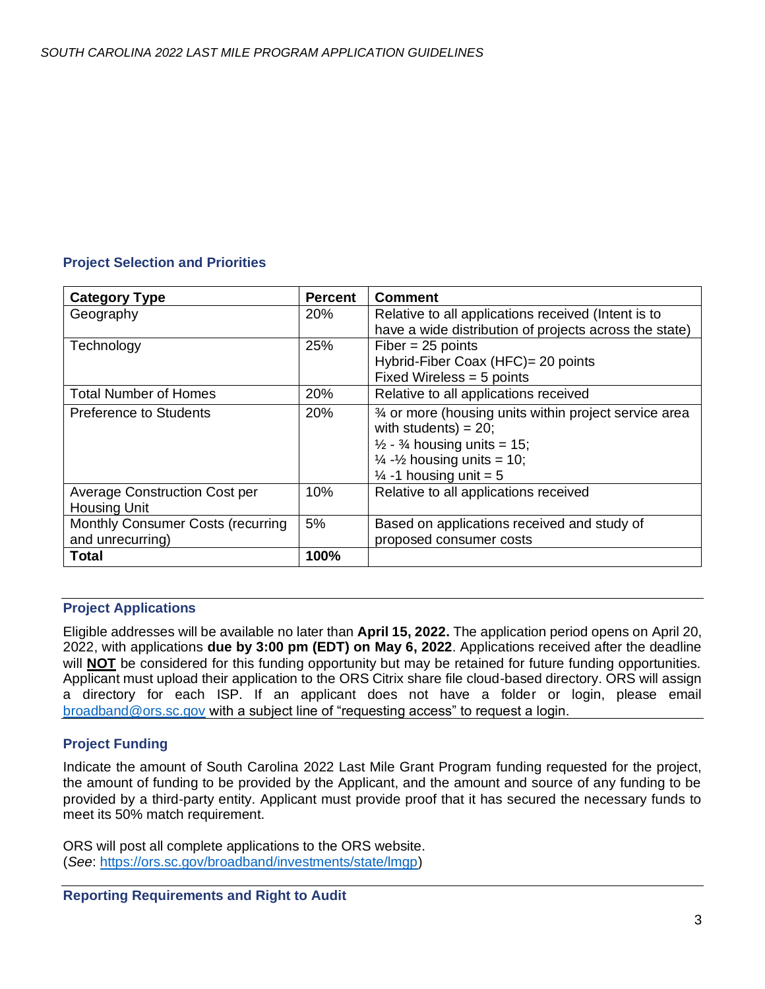# **Project Selection and Priorities**

| <b>Category Type</b>                                        | <b>Percent</b> | <b>Comment</b>                                                                                                                                                                                                                   |
|-------------------------------------------------------------|----------------|----------------------------------------------------------------------------------------------------------------------------------------------------------------------------------------------------------------------------------|
| Geography                                                   | <b>20%</b>     | Relative to all applications received (Intent is to<br>have a wide distribution of projects across the state)                                                                                                                    |
| Technology                                                  | 25%            | $Fiber = 25 points$<br>Hybrid-Fiber Coax (HFC)= 20 points<br>Fixed Wireless = 5 points                                                                                                                                           |
| Total Number of Homes                                       | 20%            | Relative to all applications received                                                                                                                                                                                            |
| Preference to Students                                      | <b>20%</b>     | 3⁄4 or more (housing units within project service area<br>with students) = $20$ ;<br>$\frac{1}{2}$ - $\frac{3}{4}$ housing units = 15;<br>$\frac{1}{4}$ - $\frac{1}{2}$ housing units = 10;<br>$\frac{1}{4}$ -1 housing unit = 5 |
| <b>Average Construction Cost per</b><br><b>Housing Unit</b> | 10%            | Relative to all applications received                                                                                                                                                                                            |
| Monthly Consumer Costs (recurring<br>and unrecurring)       | 5%             | Based on applications received and study of<br>proposed consumer costs                                                                                                                                                           |
| <b>Total</b>                                                | 100%           |                                                                                                                                                                                                                                  |

# **Project Applications**

Eligible addresses will be available no later than **April 15, 2022.** The application period opens on April 20, 2022, with applications **due by 3:00 pm (EDT) on May 6, 2022**. Applications received after the deadline will **NOT** be considered for this funding opportunity but may be retained for future funding opportunities. Applicant must upload their application to the ORS Citrix share file cloud-based directory. ORS will assign a directory for each ISP. If an applicant does not have a folder or login, please email [broadband@ors.sc.gov](mailto:broadband@ors.sc.gov) with a subject line of "requesting access" to request a login.

# **Project Funding**

Indicate the amount of South Carolina 2022 Last Mile Grant Program funding requested for the project, the amount of funding to be provided by the Applicant, and the amount and source of any funding to be provided by a third-party entity. Applicant must provide proof that it has secured the necessary funds to meet its 50% match requirement.

ORS will post all complete applications to the ORS website. (*See*[: https://ors.sc.gov/broadband/investments/state/lmgp\)](https://ors.sc.gov/broadband/investments/state/lmgp)